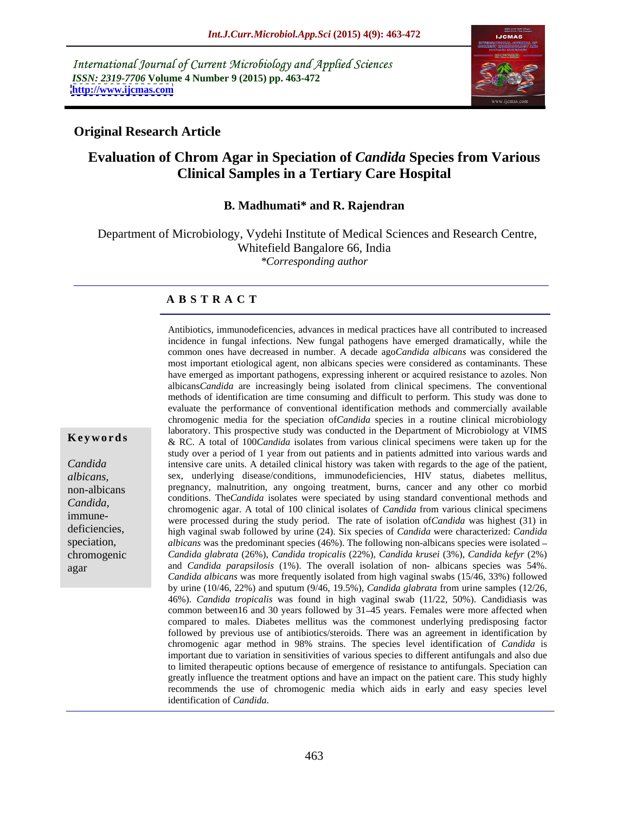International Journal of Current Microbiology and Applied Sciences *ISSN: 2319-7706* **Volume 4 Number 9 (2015) pp. 463-472 <http://www.ijcmas.com>**



## **Original Research Article**

## **Evaluation of Chrom Agar in Speciation of** *Candida* **Species from Various Clinical Samples in a Tertiary Care Hospital**

### **B. Madhumati\* and R. Rajendran**

 Department of Microbiology, Vydehi Institute of Medical Sciences and Research Centre, Whitefield Bangalore 66, India *\*Corresponding author*

## **A B S T R A C T**

Antibiotics, immunodeficencies, advances in medical practices have all contributed to increased incidence in fungal infections. New fungal pathogens have emerged dramatically, while the common ones have decreased in number. A decade ago*Candida albicans* was considered the most important etiological agent, non albicans species were considered as contaminants. These have emerged as important pathogens, expressing inherent or acquired resistance to azoles. Non albicans*Candida* are increasingly being isolated from clinical specimens. The conventional methods of identification are time consuming and difficult to perform. This study was done to evaluate the performance of conventional identification methods and commercially available chromogenic media for the speciation of*Candida* species in a routine clinical microbiology laboratory. This prospective study was conducted in the Department of Microbiology at VIMS & RC. A total of 100*Candida* isolates from various clinical specimens were taken up for the study over a period of 1 year from out patients and in patients admitted into various wards and intensive care units. A detailed clinical history was taken with regards to the age of the patient, *Candida*  sex, underlying disease/conditions, immunodeficiencies, HIV status, diabetes mellitus, *albicans,*  non-albicans pregnancy, malnutrition, any ongoing treatment, burns, cancer and any other co morbid conditions. The*Candida* isolates were speciated by using standard conventional methods and *Candida*, conditions. The *Candida* isolates were specialed by using standard conventional methods and chromogenic agar. A total of 100 clinical isolates of *Candida* from various clinical specimens immune-<br>immune-<br>genera were processed during the study period. The rate of isolation of*Candida* was highest (31) in deficiencies,<br>
high vaginal swab followed by urine (24). Six species of *Candida* were characterized: *Candida* speciation, albicans was the predominant species (46%). The following non-albicans species were isolated – *Candida glabrata* (26%), *Candida tropicalis* (22%), *Candida krusei* (3%), *Candida kefyr* (2%) chromogenic and *Candida parapsilosis* (1%). The overall isolation of non- albicans species was 54%. *Candida albicans* was more frequently isolated from high vaginal swabs (15/46, 33%) followed by urine (10/46, 22%) and sputum (9/46, 19.5%), *Candida glabrata* from urine samples (12/26, 46%). *Candida tropicalis* was found in high vaginal swab (11/22,50%). Candidiasis was common between16 and 30 years followed by 31-45 years. Females were more affected when compared to males. Diabetes mellitus was the commonest underlying predisposing factor followed by previous use of antibiotics/steroids. There was an agreement in identification by chromogenic agar method in 98% strains. The species level identification of *Candida* is important due to variation in sensitivities of various species to different antifungals and also due to limited therapeutic options because of emergence of resistance to antifungals. Speciation can greatly influence the treatment options and have an impact on the patient care. This study highly recommends the use of chromogenic media which aids in early and easy species level **Exery or rds**<br> **Exery,**  $\alpha$ ,  $\alpha$ ,  $\beta$ ,  $\alpha$ ,  $\alpha$ ,  $\beta$ ,  $\alpha$ ,  $\alpha$ ,  $\beta$ ,  $\alpha$ ,  $\alpha$ ,  $\beta$ ,  $\alpha$ ,  $\beta$ ,  $\alpha$ ,  $\beta$ ,  $\alpha$ ,  $\beta$ ,  $\alpha$ ,  $\alpha$ ,  $\beta$ ,  $\alpha$ ,  $\alpha$ ,  $\alpha$ ,  $\alpha$ ,  $\alpha$ ,  $\alpha$ ,  $\alpha$ ,  $\alpha$ ,  $\alpha$ ,  $\alpha$ ,  $\alpha$ ,  $\alpha$ 

agar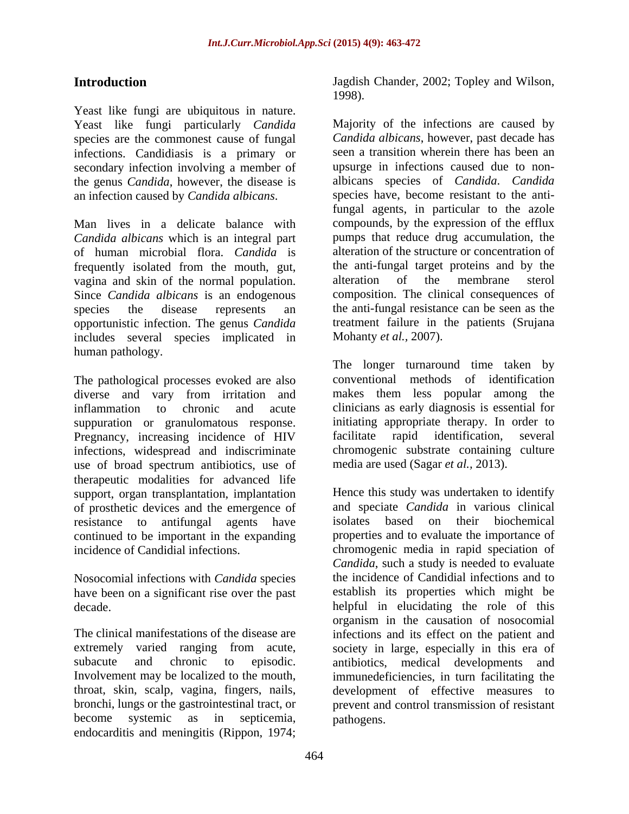Yeast like fungi are ubiquitous in nature. Yeast like fungi particularly *Candida* Majority of the infections are caused by species are the commonest cause of fungal infections. Candidiasis is a primary or secondary infection involving a member of the genus *Candida*, however, the disease is

*Candida albicans* which is an integral part of human microbial flora. *Candida* is frequently isolated from the mouth, gut, the anti-fungal target proteins and<br>vagina and skin of the normal population alteration of the membrane vagina and skin of the normal population. Since *Candida albicans* is an endogenous opportunistic infection. The genus *Candida* treatment failure in includes several species implicated in Mohanty *et al.*, 2007). includes several species implicated in human pathology.

The pathological processes evoked are also diverse and vary from irritation and inflammation to chronic and acute clinicians as early diagnosis is essential for suppuration or granulomatous response. initiating appropriate therapy. In order to Pregnancy, increasing incidence of HIV facilitate rapid identification, several Pregnancy, increasing incidence of HIV infections, widespread and indiscriminate use of broad spectrum antibiotics, use of therapeutic modalities for advanced life support, organ transplantation, implantation of prosthetic devices and the emergence of and speciate *Candida* in various clinical resistance to antifungal agents have isolates based on their biochemical resistance to antifungal agents have isolates based on their biochemical continued to be important in the expanding

Nosocomial infections with *Candida* species have been on a significant rise over the past

throat, skin, scalp, vagina, fingers, nails, endocarditis and meningitis (Rippon, 1974;

Introduction Jagdish Chander, 2002; Topley and Wilson, Jagdish Chander, 2002; Topley and Wilson, 1998). Majority of the infections are caused by

an infection caused by *Candida albicans*. species have, become resistant to the anti-Man lives in a delicate balance with compounds, by the expression of the efflux species the disease represents an the anti-fungal resistance can be seen as the *Candida albicans*, however, past decade has seen a transition wherein there has been an upsurge in infections caused due to non albicans species of *Candida*. *Candida* fungal agents, in particular to the azole pumps that reduce drug accumulation, the alteration of the structure or concentration of the anti-fungal target proteins and by the alteration of the membrane sterol composition. The clinical consequences of treatment failure in the patients (Srujana

Mohanty *et al.,* 2007). The longer turnaround time taken by conventional methods of identification makes them less popular among the initiating appropriate therapy. In order to facilitate rapid identification, several chromogenic substrate containing culture media are used (Sagar *et al.,* 2013).

incidence of Candidial infections. chromogenic media in rapid speciation of decade. helpful in elucidating the role of this The clinical manifestations of the disease are infections and its effect on the patient and extremely varied ranging from acute, society in large, especially in this era of subacute and chronic to episodic. antibiotics, medical developments and Involvement may be localized to the mouth, immunedeficiencies, in turn facilitating the bronchi, lungs or the gastrointestinal tract, or prevent and control transmission of resistant become systemic as in septicemia, Hence this study was undertaken to identify and speciate *Candida* in various clinical isolates based on their biochemical properties and to evaluate the importance of *Candida*, such a study is needed to evaluate the incidence of Candidial infections and to establish its properties which might be organism in the causation of nosocomial development of effective measures to pathogens.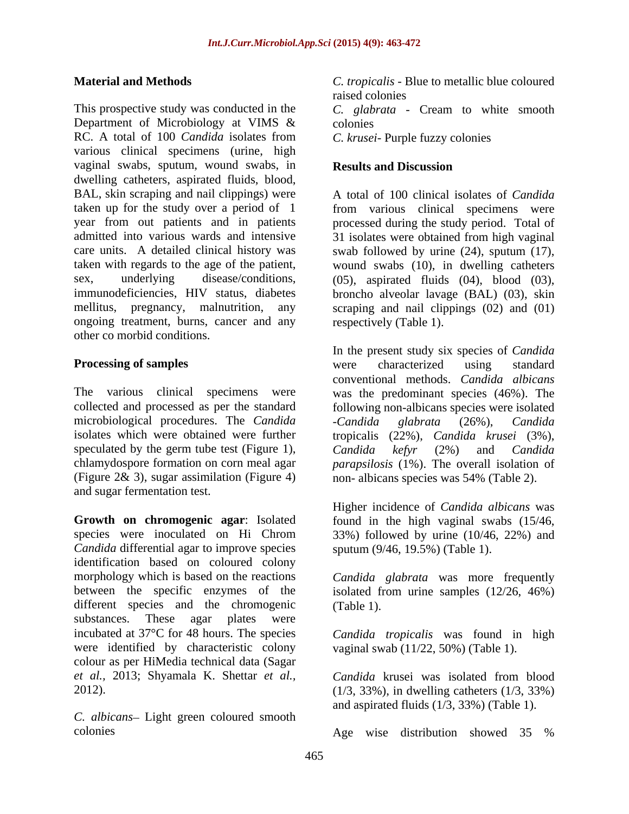This prospective study was conducted in the *C. glabrata* - Cream to white smooth Department of Microbiology at VIMS & RC. A total of 100 *Candida* isolates from C. krusei- Purple fuzzy colonies various clinical specimens (urine, high vaginal swabs, sputum, wound swabs, in dwelling catheters, aspirated fluids, blood, BAL, skin scraping and nail clippings) were taken up for the study over a period of 1 from various clinical specimens were year from out patients and in patients processed during the study period. Total of admitted into various wards and intensive 31 isolates were obtained from high vaginal care units. A detailed clinical history was swab followed by urine (24), sputum (17), taken with regards to the age of the patient, wound swabs (10), in dwelling catheters sex, underlying disease/conditions, (05), aspirated fluids (04), blood (03), immunodeficiencies, HIV status, diabetes broncho alveolar lavage (BAL) (03), skin mellitus, pregnancy, malnutrition, any scraping and nail clippings (02) and (01) ongoing treatment, burns, cancer and any respectively (Table 1). other co morbid conditions.

The various clinical specimens were was the predominant species (46%). The collected and processed as per the standard microbiological procedures. The *Candida* - *Candida* glabrata (26%), *Candida* isolates which were obtained were further tropicalis (22%). *Candida krusei* (3%). isolates which were obtained were further tropicalis (22%), *Candida krusei* (3%), speculated by the germ tube test (Figure 1), Candida ket (2%) and Candida chlamydospore formation on corn meal agar *parapsilosis* (1%). The overall isolation of (Figure 2& 3), sugar assimilation (Figure 4) non- albicans species was 54% (Table 2). and sugar fermentation test.

**Growth on chromogenic agar**: Isolated found in the high vaginal swabs (15/46, species were inoculated on Hi Chrom 33%) followed by urine (10/46, 22%) and *Candida* differential agar to improve species identification based on coloured colony morphology which is based on the reactions between the specific enzymes of the isolated from urine samples (12/26, 46%) different species and the chromogenic (Table 1). substances. These agar plates were incubated at 37°C for 48 hours. The species *Candida tropicalis* was found in high were identified by characteristic colony colour as per HiMedia technical data (Sagar *et al.,* 2013; Shyamala K. Shettar *et al.,* 2012).

*C. albicans* – Light green coloured smooth

**Material and Methods** *C. tropicalis* - Blue to metallic blue coloured raised colonies colonies *C. krusei*- Purple fuzzy colonies

## **Results and Discussion**

A total of 100 clinical isolates of *Candida* respectively (Table 1).

**Processing of samples** were characterized using standard In the present study six species of *Candida* were characterized using standard conventional methods. *Candida albicans* following non-albicans species were isolated -*Candida glabrata* (26%), *Candida Candida kefyr* (2%) and *Candida*

> Higher incidence of *Candida albicans* was sputum (9/46, 19.5%) (Table 1).

*Candida glabrata* was more frequently (Table 1).

vaginal swab (11/22, 50%) (Table 1).

*Candida* krusei was isolated from blood (1/3, 33%), in dwelling catheters (1/3, 33%) and aspirated fluids (1/3, 33%) (Table 1).

colonies Age wise distribution showed 35 %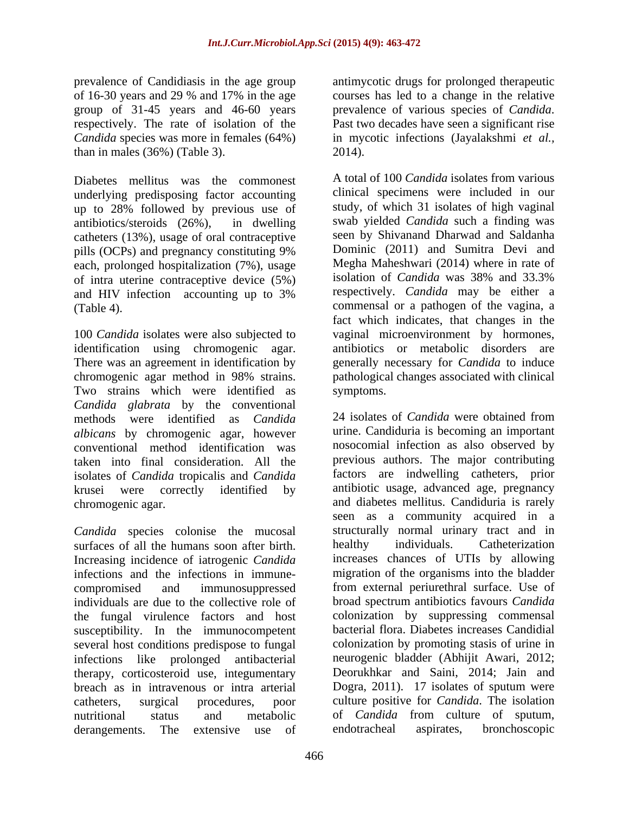prevalence of Candidiasis in the age group antimycotic drugs for prolonged therapeutic of 16-30 years and 29 % and 17% in the age courses has led to a change in the relative group of 31-45 years and 46-60 years prevalence of various species of *Candida*. respectively. The rate of isolation of the Past two decades have seen a significant rise *Candida* species was more in females (64%) than in males (36%) (Table 3).

Diabetes mellitus was the commonest underlying predisposing factor accounting up to 28% followed by previous use of catheters (13%), usage of oral contraceptive each, prolonged hospitalization (7%), usage Megha Maheshwari (2014) where in rate of of intra uterine contracentive device  $(5\%)$  isolation of *Candida* was 38% and 33.3% of intra uterine contraceptive device (5%)

100 *Candida* isolates were also subjected to vaginal microenvironment by hormones, identification using chromogenic agar. There was an agreement in identification by chromogenic agar method in 98% strains. pathological changes associated with clinical Two strains which were identified as symptoms. *Candida glabrata* by the conventional methods were identified as *Candida albicans* by chromogenic agar, however conventional method identification was taken into final consideration. All the isolates of *Candida* tropicalis and *Candida*

*Candida* species colonise the mucosal structurally normal urinary tract and in surfaces of all the humans soon after birth. In healthy individuals. Catheterization surfaces of all the humans soon after birth. healthy individuals. Increasing incidence of iatrogenic *Candida* individuals are due to the collective role of the fungal virulence factors and host susceptibility. In the immunocompetent several host conditions predispose to fungal infections like prolonged antibacterial therapy, corticosteroid use, integumentary breach as in intravenous or intra arterial derangements. The extensive use of endotracheal aspirates,

prevalence of various species of *Candida*. Past two decades have seen <sup>a</sup> significant rise in mycotic infections (Jayalakshmi *et al.,* 2014).

antibiotics/steroids (26%), in dwelling swab yielded *Candida* such a finding was pills (OCPs) and pregnancy constituting 9% Dominic (2011) and Sumitra Devi and and HIV infection accounting up to 3% respectively. Candida may be either a (Table 4). commensal or a pathogen of the vagina, a A total of 100 *Candida* isolates from various clinical specimens were included in our study, of which 31 isolates of high vaginal seen by Shivanand Dharwad and Saldanha Dominic (2011) and Sumitra Devi and Megha Maheshwari (2014) where in rate of isolation of *Candida* was 38% and 33.3% respectively. *Candida* may be either a fact which indicates, that changes in the antibiotics or metabolic disorders are generally necessary for *Candida* to induce symptoms.

krusei were correctly identified by antibiotic usage, advanced age, pregnancy chromogenic agar. and diabetes mellitus. Candiduria is rarely infections and the infections in immune- migration of the organisms into the bladder compromised and immunosuppressed from external periurethral surface. Use of catheters, surgical procedures, poor culture positive for *Candida*. The isolation nutritional status and metabolic of *Candida* from culture of sputum, 24 isolates of *Candida* were obtained from urine. Candiduria is becoming an important nosocomial infection as also observed by previous authors. The major contributing factors are indwelling catheters, prior seen as a community acquired in a structurally normal urinary tract and in healthy individuals. Catheterization increases chances of UTIs by allowing broad spectrum antibiotics favours *Candida* colonization by suppressing commensal bacterial flora. Diabetes increases Candidial colonization by promoting stasis of urine in neurogenic bladder (Abhijit Awari, 2012; Deorukhkar and Saini, 2014; Jain and Dogra, 2011). 17 isolates of sputum were bronchoscopic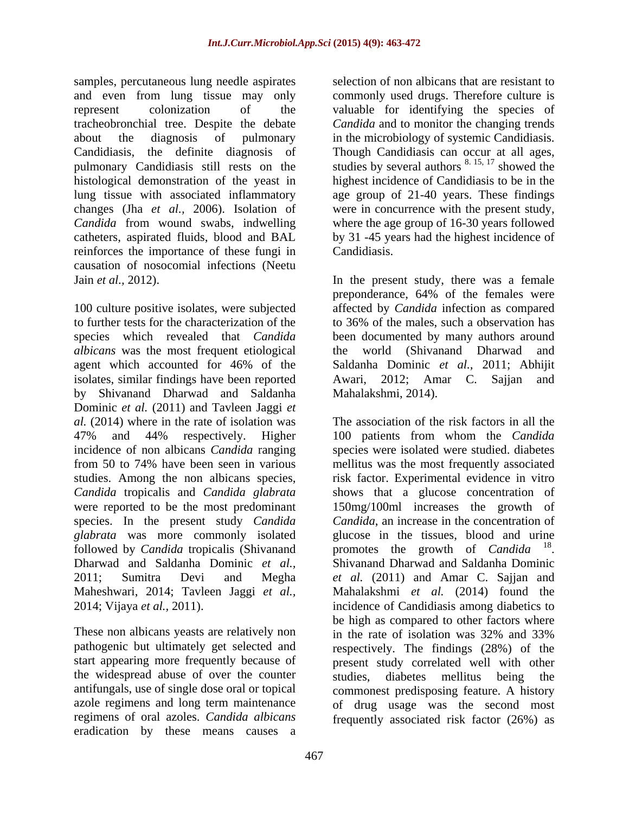samples, percutaneous lung needle aspirates and even from lung tissue may only commonly used drugs. Thereforeculture is represent colonization of the valuable for identifying the species of tracheobronchial tree. Despite the debate *Candida* and to monitor the changing trends about the diagnosis of pulmonary in the microbiology of systemic Candidiasis. Candidiasis, the definite diagnosis of Though Candidiasis can occur at all ages, pulmonary Candidiasis still rests on the histological demonstration of the yeast in highest incidence of Candidiasis to be in the lung tissue with associated inflammatory age group of 21-40 years. These findings changes (Jha *et al.,* 2006). Isolation of were in concurrence with the present study, *Candida* from wound swabs, indwelling where the age group of 16-30 years followed catheters, aspirated fluids, blood and BAL reinforces the importance of these fungi in Candidiasis. causation of nosocomial infections (Neetu

to further tests for the characterization of the to 36% of the males, such a observation has species which revealed that *Candida*  been documented by many authors around *albicans* was the most frequent etiological agent which accounted for 46% of the Saldanha Dominic *et al.,* 2011; Abhijit isolates, similar findings have been reported Awari, 2012; Amar C. Sajjan and by Shivanand Dharwad and Saldanha Dominic *et al.* (2011) and Tavleen Jaggi *et al.* (2014) where in the rate of isolation was were reported to be the most predominant species. In the present study *Candida* followed by *Candida* tropicalis (Shivanand Dharwad and Saldanha Dominic *et al.,* Maheshwari, 2014; Tavleen Jaggi *et al.,*

These non albicans yeasts are relatively non in the rate of isolation was 32% and 33% pathogenic but ultimately get selected and the widespread abuse of over the counter studies, diabetes mellitus being the regimens of oral azoles. *Candida albicans* frequently associated risk factor (26%) aseradication by these means causes a

selection of non albicans that are resistant to studies by several authors  $8.15, 17$  showed the showed the by 31 -45 years had the highest incidence of Candidiasis.

Jain *et al.*, 2012). In the present study, there was a female<br>preponderance, 64% of the females were<br>100 culture positive isolates, were subjected affected by *Candida* infection as compared In the present study, there was a female preponderance, 64% of the females were affected by *Candida* infection as compared world (Shivanand Dharwad Awari, 2012; Amar C. Sajjan Mahalakshmi, 2014).

47% and 44% respectively. Higher 100 patients from whom the *Candida* incidence of non albicans *Candida* ranging species were isolated were studied. diabetes from 50 to 74% have been seen in various mellitus was the most frequently associated studies. Among the non albicans species, risk factor. Experimental evidence in vitro *Candida* tropicalis and *Candida glabrata* shows that a glucose concentration of *glabrata* was more commonly isolated glucose in the tissues, blood and urine 2011; Sumitra Devi and Megha *et al.* (2011) and Amar C. Sajjan and 2014; Vijaya *et al.,* 2011). incidence of Candidiasis among diabetics to start appearing more frequently because of present study correlated well with other antifungals, use of single dose oral or topical commonest predisposing feature. A history azole regimens and long term maintenance of drug usage was the second most The association of the risk factors in all the 150mg/100ml increases the growth of *Candida*, an increase in the concentration of promotes the growth of *Candida* promotes the growth of *Candida* <sup>18</sup>.<br>Shivanand Dharwad and Saldanha Dominic Mahalakshmi *et al.* (2014) found the be high as compared to other factors where in the rate of isolation was 32% and 33% respectively. The findings (28%) of the studies, diabetes mellitus being the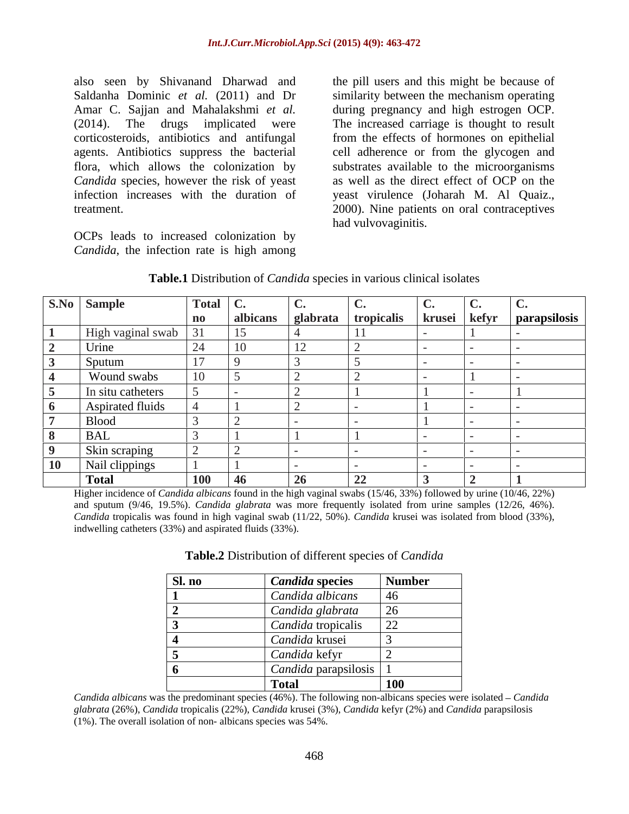also seen by Shivanand Dharwad and Saldanha Dominic *et al.* (2011) and Dr similarity between the mechanism operating Amar C. Sajjan and Mahalakshmi *et al.* during pregnancy and high estrogen OCP. (2014). The drugs implicated were The increased carriage is thought to result corticosteroids, antibiotics and antifungal from the effects of hormones on epithelial agents. Antibiotics suppress the bacterial flora, which allows the colonization by substrates available to the microorganisms *Candida* species, however the risk of yeast infection increases with the duration of veast virulence (Joharah M. Al Quaiz., treatment. 2000). Nine patients on oral contraceptives

OCPs leads to increased colonization by *Candida*, the infection rate is high among

the pill users and this might be because of cell adherence or from the glycogen and as well as the direct effect of OCP on the yeast virulence (Joharah M. Al Quaiz., 2000). Nine patients on oral contraceptives had vulvovaginitis.

| S.No Sample       | Total $\ $ C. |               | $\ddotsc$ |                                  |              |              |
|-------------------|---------------|---------------|-----------|----------------------------------|--------------|--------------|
|                   | $\mathbf n$   |               |           | albicans   glabrata   tropicalis | krusei kefyr | parapsilosis |
| High vaginal swab |               | 15            |           |                                  |              |              |
| Urine             | ∠⊣            | $\sim$<br>1 V | 12        |                                  |              |              |
| Sputum            | $\sim$        |               |           |                                  |              |              |
| Wound swabs       |               |               |           |                                  |              |              |
| In situ catheters |               |               |           |                                  |              |              |
| Aspirated fluids  |               |               |           |                                  |              |              |
| <b>Blood</b>      |               |               |           |                                  |              |              |
| <b>BAL</b>        |               |               |           |                                  |              |              |
| Skin scraping     |               |               |           |                                  |              |              |
| Nail clippings    |               |               |           |                                  |              |              |
| <b>Total</b>      | <b>100</b>    | $-46$         | 26        | 22                               |              |              |

**Table.1** Distribution of *Candida* species in various clinical isolates

Higher incidence of *Candida albicans* found in the high vaginal swabs (15/46, 33%) followed by urine (10/46, 22%) and sputum (9/46, 19.5%). *Candida glabrata* was more frequently isolated from urine samples (12/26, 46%). *Candida* tropicalis was found in high vaginal swab (11/22, 50%). *Candida* krusei was isolated from blood (33%), indwelling catheters (33%) and aspirated fluids (33%).

| Sl. no | <b>Candida species</b>          | <b>Number</b> |
|--------|---------------------------------|---------------|
|        | Candida albicans                |               |
|        | Candida glabrata                | 26            |
|        | Candida tropicalis              | ാറ            |
|        | Candida krusei                  |               |
|        | Candida kefyr                   |               |
|        | <i>Candida</i> parapsilosis   1 |               |
|        | <b>Total</b>                    | <b>100</b>    |

| Table.2 Distribution of different species of Candida |  |  |
|------------------------------------------------------|--|--|
|------------------------------------------------------|--|--|

*Candida albicans* was the predominant species (46%). The following non-albicans species were isolated *Candida glabrata* (26%), *Candida* tropicalis (22%), *Candida* krusei (3%), *Candida* kefyr (2%) and *Candida* parapsilosis (1%). The overall isolation of non- albicans species was 54%.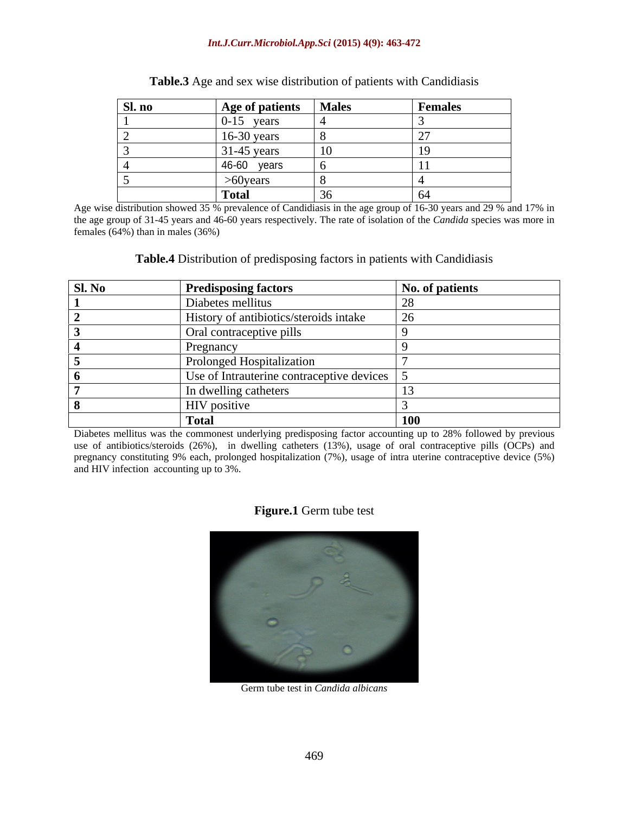### *Int.J.Curr.Microbiol.App.Sci* **(2015) 4(9): 463-472**

| Sl. no | Age of patients | <b>Males</b> | <b>Females</b> |
|--------|-----------------|--------------|----------------|
|        | $0-15$ years    |              |                |
|        | $16-30$ years   |              | . .            |
|        | $31-45$ years   | 10           | $\rightarrow$  |
|        | 46-60<br>years  |              |                |
|        | $>60$ years     |              |                |
|        | <b>Total</b>    | ◡◡           | $\sigma$       |

| Table.3.<br>$\cdot$ $\sim$<br>e distribution of patients with Candidiasis<br>$\overline{\mathcal{Q}}$ Age and sex wise $\overline{C}$ |  |
|---------------------------------------------------------------------------------------------------------------------------------------|--|
|                                                                                                                                       |  |

Age wise distribution showed 35 % prevalence of Candidiasis in the age group of 16-30 years and 29 % and 17% in the age group of 31-45 years and 46-60 years respectively. The rate of isolation of the *Candida* species was more in females (64%) than in males (36%)

**Table.4** Distribution of predisposing factors in patients with Candidiasis

| <b>Sl. No</b> | <b>Predisposing factors</b>                               | No. of patients |
|---------------|-----------------------------------------------------------|-----------------|
|               | Diabetes mellitus                                         |                 |
|               | History of antibiotics/steroids intake                    | ΖO              |
|               | Oral contraceptive pills                                  |                 |
|               | Pregnancy                                                 |                 |
|               | Prolonged Hospitalization                                 |                 |
|               | Use of Intrauterine contraceptive devices $\vert 5 \vert$ |                 |
|               | In dwelling catheters                                     |                 |
|               | HIV positive                                              |                 |
|               | <b>Total</b>                                              | <b>100</b>      |

Diabetes mellitus was the commonest underlying predisposing factor accounting up to 28% followed by previous use of antibiotics/steroids (26%), in dwelling catheters (13%), usage of oral contraceptive pills (OCPs) and pregnancy constituting 9% each, prolonged hospitalization (7%), usage of intra uterine contraceptive device (5%) and HIV infection accounting up to 3%.

### **Figure.1** Germ tube test



Germ tube test in *Candida albicans*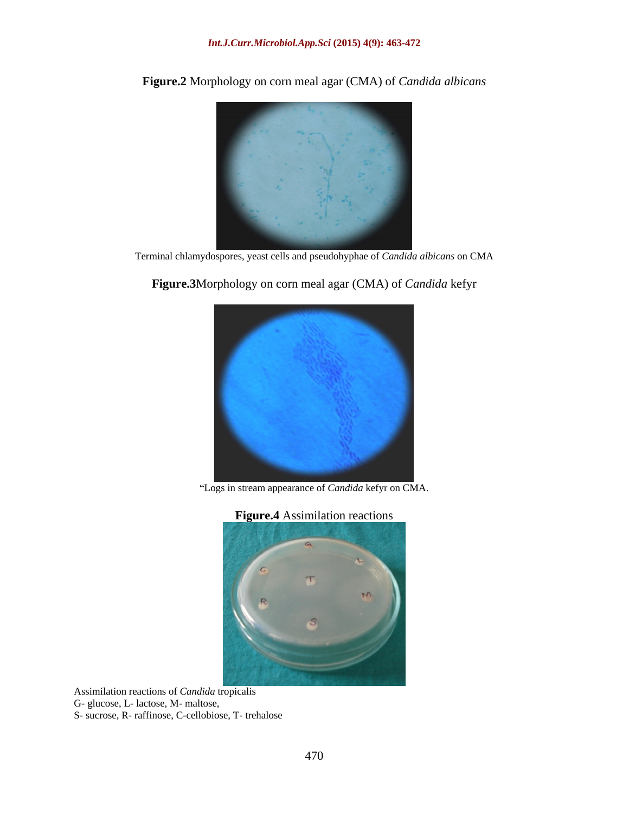

**Figure.2** Morphology on corn meal agar (CMA) of *Candida albicans*

Terminal chlamydospores, yeast cells and pseudohyphae of *Candida albicans* on CMA

Logs in stream appearance of *Candida* kefyr on CMA.

**Figure.3**Morphology on corn meal agar (CMA) of *Candida* kefyr

**Figure.4** Assimilation reactions  $G<sub>1</sub>$ 

Assimilation reactions of *Candida* tropicalis G- glucose, L- lactose, M- maltose, S- sucrose, R- raffinose, C-cellobiose, T- trehalose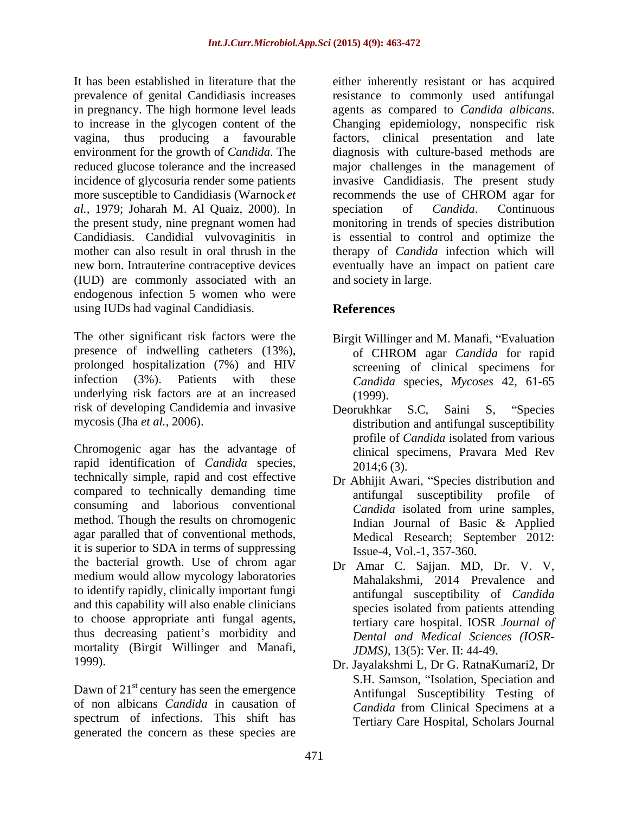prevalence of genital Candidiasis increases in pregnancy. The high hormone level leads agents as compared to *Candida albicans*. to increase in the glycogen content of the Changing epidemiology, nonspecific risk more susceptible to Candidiasis (Warnock *et* recommends the use of CHROM agar for *al.,* 1979; Joharah M. Al Quaiz, 2000). In (IUD) are commonly associated with an endogenous infection 5 women who were using IUDs had vaginal Candidiasis.

The other significant risk factors were the presence of indwelling catheters (13%),  $\qquad$  of CHROM agar *Candida* for rapid prolonged hospitalization (7%) and HIV infection (3%). Patients with these *Candida* species, *Mycoses* 42, 61-65 underlying risk factors are at an increased (1999). risk of developing Candidemia and invasive Deorukhkar S.C. Saini S. "Species

rapid identification of *Candida* species, 2014;6 (3).<br>technically simple, rapid and cost effective Dr Abhijit Awari. "Species distribution and compared to technically demanding time consuming and laborious conventional method. Though the results on chromogenic<br>Indian Journal of Basic & Applied agar paralled that of conventional methods, it is superior to SDA in terms of suppressing the bacterial growth. Use of chrom agar medium would allow mycology laboratories to identify rapidly, clinically important fungi and this capability will also enable clinicians to choose appropriate anti fungal agents, thus decreasing patient's morbidity and mortality (Birgit Willinger and Manafi,

Dawn of  $21<sup>st</sup>$  century has seen the emergence of non albicans *Candida* in causation of spectrum of infections. This shift has generated the concern as these species are

It has been established in literature that the either inherently resistant or has acquired vagina, thus producing a favourable factors, clinical presentation and late environment for the growth of *Candida*. The diagnosis with culture-based methods are reduced glucose tolerance and the increased major challenges in the management of incidence of glycosuria render some patients invasive Candidiasis. The present study the present study, nine pregnant women had monitoring in trends of species distribution Candidiasis. Candidial vulvovaginitis in is essential to control and optimize the mother can also result in oral thrush in the therapy of *Candida* infection which will new born. Intrauterine contraceptive devices eventually have an impact on patient care resistance to commonly used antifungal agents as compared to *Candida albicans*. Changing epidemiology, nonspecific risk recommends the use of CHROM agar for speciation of *Candida*. Continuous and society in large.

# **References**

- Birgit Willinger and M. Manafi, "Evaluation of CHROM agar *Candida* for rapid screening of clinical specimens for (1999).
- mycosis (Jha *et al.*, 2006).<br>
Chromogenic agar has the advantage of candida isolated from various clinical specimens. Pravara Med Rev Deorukhkar S.C, Saini S, "Species distribution and antifungal susceptibility profile of *Candida* isolated from various clinical specimens, Pravara Med Rev 2014;6 (3).
	- Dr Abhijit Awari, "Species distribution and antifungal susceptibility profile of *Candida* isolated from urine samples, Indian Journal of Basic & Applied Medical Research; September 2012: Issue-4, Vol.-1, 357-360.
	- Dr Amar C. Sajjan. MD, Dr. V. V, Mahalakshmi, 2014 Prevalence and antifungal susceptibility of *Candida* species isolated from patients attending tertiary care hospital. IOSR *Journal of Dental and Medical Sciences (IOSR- JDMS),* 13(5): Ver. II: 44-49.
- 1999). Dr. Jayalakshmi L, Dr G. RatnaKumari2, Dr S.H. Samson, "Isolation, Speciation and Antifungal Susceptibility Testing of *Candida* from Clinical Specimens at a Tertiary Care Hospital, Scholars Journal